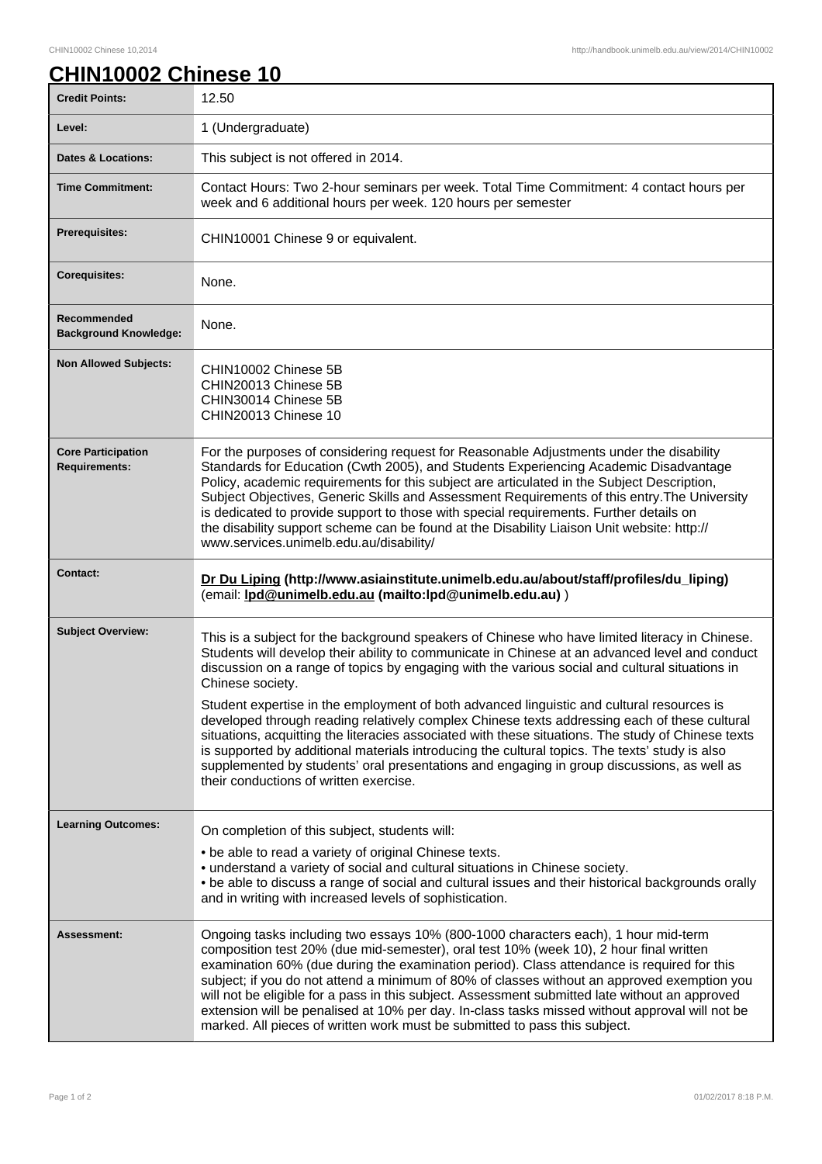## **CHIN10002 Chinese 10**

| <b>Credit Points:</b>                             | 12.50                                                                                                                                                                                                                                                                                                                                                                                                                                                                                                                                                                                                                                                                                                                                                                                                                                                               |
|---------------------------------------------------|---------------------------------------------------------------------------------------------------------------------------------------------------------------------------------------------------------------------------------------------------------------------------------------------------------------------------------------------------------------------------------------------------------------------------------------------------------------------------------------------------------------------------------------------------------------------------------------------------------------------------------------------------------------------------------------------------------------------------------------------------------------------------------------------------------------------------------------------------------------------|
| Level:                                            | 1 (Undergraduate)                                                                                                                                                                                                                                                                                                                                                                                                                                                                                                                                                                                                                                                                                                                                                                                                                                                   |
| <b>Dates &amp; Locations:</b>                     | This subject is not offered in 2014.                                                                                                                                                                                                                                                                                                                                                                                                                                                                                                                                                                                                                                                                                                                                                                                                                                |
| <b>Time Commitment:</b>                           | Contact Hours: Two 2-hour seminars per week. Total Time Commitment: 4 contact hours per<br>week and 6 additional hours per week. 120 hours per semester                                                                                                                                                                                                                                                                                                                                                                                                                                                                                                                                                                                                                                                                                                             |
| <b>Prerequisites:</b>                             | CHIN10001 Chinese 9 or equivalent.                                                                                                                                                                                                                                                                                                                                                                                                                                                                                                                                                                                                                                                                                                                                                                                                                                  |
| <b>Corequisites:</b>                              | None.                                                                                                                                                                                                                                                                                                                                                                                                                                                                                                                                                                                                                                                                                                                                                                                                                                                               |
| Recommended<br><b>Background Knowledge:</b>       | None.                                                                                                                                                                                                                                                                                                                                                                                                                                                                                                                                                                                                                                                                                                                                                                                                                                                               |
| <b>Non Allowed Subjects:</b>                      | CHIN10002 Chinese 5B<br>CHIN20013 Chinese 5B<br>CHIN30014 Chinese 5B<br>CHIN20013 Chinese 10                                                                                                                                                                                                                                                                                                                                                                                                                                                                                                                                                                                                                                                                                                                                                                        |
| <b>Core Participation</b><br><b>Requirements:</b> | For the purposes of considering request for Reasonable Adjustments under the disability<br>Standards for Education (Cwth 2005), and Students Experiencing Academic Disadvantage<br>Policy, academic requirements for this subject are articulated in the Subject Description,<br>Subject Objectives, Generic Skills and Assessment Requirements of this entry. The University<br>is dedicated to provide support to those with special requirements. Further details on<br>the disability support scheme can be found at the Disability Liaison Unit website: http://<br>www.services.unimelb.edu.au/disability/                                                                                                                                                                                                                                                    |
| <b>Contact:</b>                                   | Dr Du Liping (http://www.asiainstitute.unimelb.edu.au/about/staff/profiles/du_liping)                                                                                                                                                                                                                                                                                                                                                                                                                                                                                                                                                                                                                                                                                                                                                                               |
|                                                   | (email: lpd@unimelb.edu.au (mailto:lpd@unimelb.edu.au))                                                                                                                                                                                                                                                                                                                                                                                                                                                                                                                                                                                                                                                                                                                                                                                                             |
| <b>Subject Overview:</b>                          | This is a subject for the background speakers of Chinese who have limited literacy in Chinese.<br>Students will develop their ability to communicate in Chinese at an advanced level and conduct<br>discussion on a range of topics by engaging with the various social and cultural situations in<br>Chinese society.<br>Student expertise in the employment of both advanced linguistic and cultural resources is<br>developed through reading relatively complex Chinese texts addressing each of these cultural<br>situations, acquitting the literacies associated with these situations. The study of Chinese texts<br>is supported by additional materials introducing the cultural topics. The texts' study is also<br>supplemented by students' oral presentations and engaging in group discussions, as well as<br>their conductions of written exercise. |
| <b>Learning Outcomes:</b>                         | On completion of this subject, students will:<br>• be able to read a variety of original Chinese texts.<br>• understand a variety of social and cultural situations in Chinese society.<br>. be able to discuss a range of social and cultural issues and their historical backgrounds orally<br>and in writing with increased levels of sophistication.                                                                                                                                                                                                                                                                                                                                                                                                                                                                                                            |